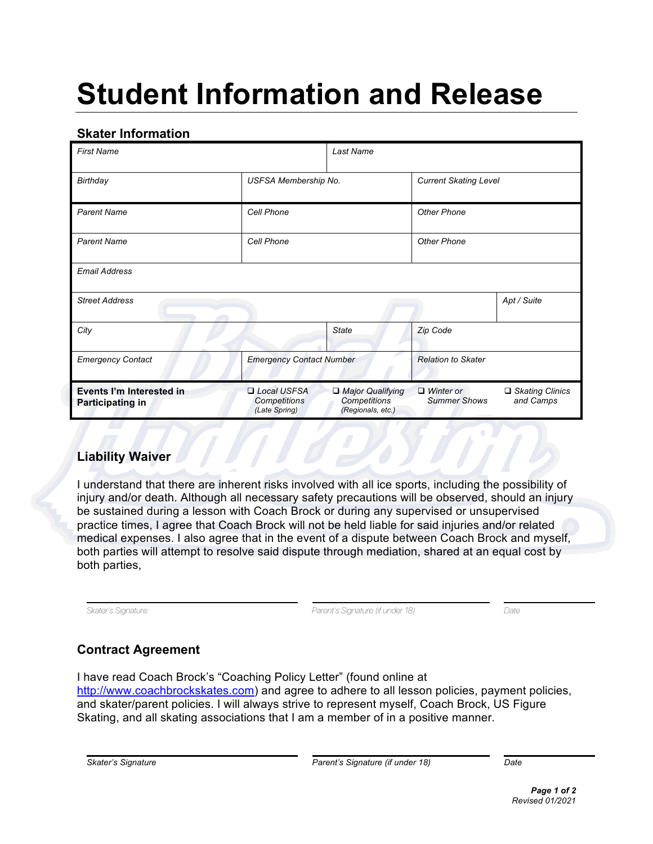# **Student Information and Release**

## **Skater Information**

| <b>First Name</b>                                   |                                                     | Last Name                                             |                                         |                                |
|-----------------------------------------------------|-----------------------------------------------------|-------------------------------------------------------|-----------------------------------------|--------------------------------|
| Birthday                                            | USFSA Membership No.                                |                                                       | <b>Current Skating Level</b>            |                                |
| <b>Parent Name</b>                                  | Cell Phone                                          |                                                       | <b>Other Phone</b>                      |                                |
| <b>Parent Name</b>                                  | Cell Phone                                          |                                                       | <b>Other Phone</b>                      |                                |
| <b>Email Address</b>                                |                                                     |                                                       |                                         |                                |
| <b>Street Address</b>                               |                                                     |                                                       |                                         | Apt / Suite                    |
| City                                                |                                                     | <b>State</b>                                          | Zip Code                                |                                |
| <b>Emergency Contact</b>                            | <b>Emergency Contact Number</b>                     |                                                       | <b>Relation to Skater</b>               |                                |
| Events I'm Interested in<br><b>Participating in</b> | Local USFSA<br><b>Competitions</b><br>(Late Spring) | Major Qualifying<br>Competitions<br>(Regionals, etc.) | $\Box$ Winter or<br><b>Summer Shows</b> | □ Skating Clinics<br>and Camps |

### **Liability Waiver**

I understand that there are inherent risks involved with all ice sports, including the possibility of injury and/or death. Although all necessary safety precautions will be observed, should an injury be sustained during a lesson with Coach Brock or during any supervised or unsupervised practice times, I agree that Coach Brock will not be held liable for said injuries and/or related medical expenses. I also agree that in the event of a dispute between Coach Brock and myself, both parties will attempt to resolve said dispute through mediation, shared at an equal cost by both parties,

*Skater's Signature Parent's Signature (if under 18) Date*

# **Contract Agreement**

I have read Coach Brock's "Coaching Policy Letter" (found online at http://www.coachbrockskates.com) and agree to adhere to all lesson policies, payment policies, and skater/parent policies. I will always strive to represent myself, Coach Brock, US Figure Skating, and all skating associations that I am a member of in a positive manner.